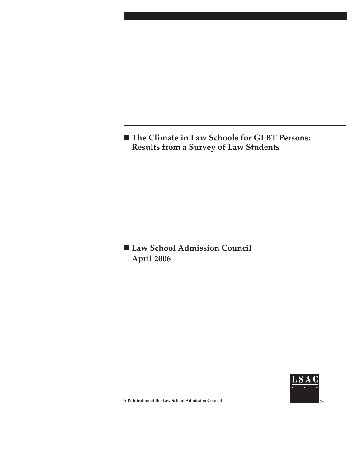**The Climate in Law Schools for GLBT Persons: Results from a Survey of Law Students**

 **Law School Admission Council April 2006**



**A Publication of the Law School Admission Council**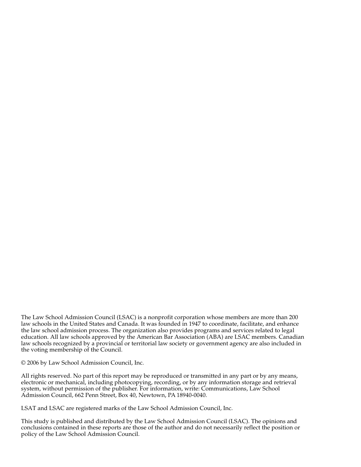The Law School Admission Council (LSAC) is a nonprofit corporation whose members are more than 200 law schools in the United States and Canada. It was founded in 1947 to coordinate, facilitate, and enhance the law school admission process. The organization also provides programs and services related to legal education. All law schools approved by the American Bar Association (ABA) are LSAC members. Canadian law schools recognized by a provincial or territorial law society or government agency are also included in the voting membership of the Council.

© 2006 by Law School Admission Council, Inc.

All rights reserved. No part of this report may be reproduced or transmitted in any part or by any means, electronic or mechanical, including photocopying, recording, or by any information storage and retrieval system, without permission of the publisher. For information, write: Communications, Law School Admission Council, 662 Penn Street, Box 40, Newtown, PA 18940-0040.

LSAT and LSAC are registered marks of the Law School Admission Council, Inc.

This study is published and distributed by the Law School Admission Council (LSAC). The opinions and conclusions contained in these reports are those of the author and do not necessarily reflect the position or policy of the Law School Admission Council.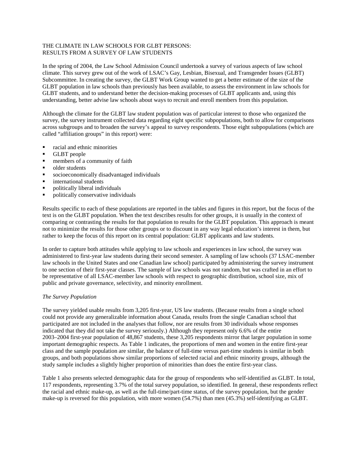### THE CLIMATE IN LAW SCHOOLS FOR GLBT PERSONS: RESULTS FROM A SURVEY OF LAW STUDENTS

In the spring of 2004, the Law School Admission Council undertook a survey of various aspects of law school climate. This survey grew out of the work of LSAC's Gay, Lesbian, Bisexual, and Transgender Issues (GLBT) Subcommittee. In creating the survey, the GLBT Work Group wanted to get a better estimate of the size of the GLBT population in law schools than previously has been available, to assess the environment in law schools for GLBT students, and to understand better the decision-making processes of GLBT applicants and, using this understanding, better advise law schools about ways to recruit and enroll members from this population.

Although the climate for the GLBT law student population was of particular interest to those who organized the survey, the survey instrument collected data regarding eight specific subpopulations, both to allow for comparisons across subgroups and to broaden the survey's appeal to survey respondents. Those eight subpopulations (which are called "affiliation groups" in this report) were:

- racial and ethnic minorities
- **GLBT** people
- **members of a community of faith**
- older students
- socioeconomically disadvantaged individuals
- **n** international students
- **•** politically liberal individuals
- politically conservative individuals

Results specific to each of these populations are reported in the tables and figures in this report, but the focus of the text is on the GLBT population. When the text describes results for other groups, it is usually in the context of comparing or contrasting the results for that population to results for the GLBT population. This approach is meant not to minimize the results for those other groups or to discount in any way legal education's interest in them, but rather to keep the focus of this report on its central population: GLBT applicants and law students.

In order to capture both attitudes while applying to law schools and experiences in law school, the survey was administered to first-year law students during their second semester. A sampling of law schools (37 LSAC-member law schools in the United States and one Canadian law school) participated by administering the survey instrument to one section of their first-year classes. The sample of law schools was not random, but was crafted in an effort to be representative of all LSAC-member law schools with respect to geographic distribution, school size, mix of public and private governance, selectivity, and minority enrollment.

#### *The Survey Population*

The survey yielded usable results from 3,205 first-year, US law students. (Because results from a single school could not provide any generalizable information about Canada, results from the single Canadian school that participated are not included in the analyses that follow, nor are results from 30 individuals whose responses indicated that they did not take the survey seriously.) Although they represent only 6.6% of the entire 2003–2004 first-year population of 48,867 students, these 3,205 respondents mirror that larger population in some important demographic respects. As Table 1 indicates, the proportions of men and women in the entire first-year class and the sample population are similar, the balance of full-time versus part-time students is similar in both groups, and both populations show similar proportions of selected racial and ethnic minority groups, although the study sample includes a slightly higher proportion of minorities than does the entire first-year class.

Table 1 also presents selected demographic data for the group of respondents who self-identified as GLBT. In total, 117 respondents, representing 3.7% of the total survey population, so identified. In general, these respondents reflect the racial and ethnic make-up, as well as the full-time/part-time status, of the survey population, but the gender make-up is reversed for this population, with more women (54.7%) than men (45.3%) self-identifying as GLBT.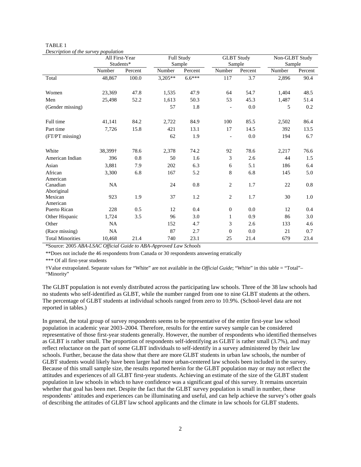|                         | All First-Year<br>Students* |         |           | Full Study<br>Sample |                | <b>GLBT</b> Study<br>Sample | Non-GLBT Study<br>Sample |         |
|-------------------------|-----------------------------|---------|-----------|----------------------|----------------|-----------------------------|--------------------------|---------|
|                         | Number                      | Percent | Number    | Percent              | Number         | Percent                     | Number                   | Percent |
| Total                   | 48,867                      | 100.0   | $3,205**$ | $6.6***$             | 117            | $\overline{3.7}$            | 2,896                    | 90.4    |
| Women                   | 23,369                      | 47.8    | 1,535     | 47.9                 | 64             | 54.7                        | 1,404                    | 48.5    |
| Men                     | 25,498                      | 52.2    | 1,613     | 50.3                 | 53             | 45.3                        | 1,487                    | 51.4    |
| (Gender missing)        |                             |         | 57        | 1.8                  |                | 0.0                         | 5                        | 0.2     |
| Full time               | 41,141                      | 84.2    | 2,722     | 84.9                 | 100            | 85.5                        | 2,502                    | 86.4    |
| Part time               | 7,726                       | 15.8    | 421       | 13.1                 | 17             | 14.5                        | 392                      | 13.5    |
| $(FT/PT$ missing)       |                             |         | 62        | 1.9                  | $\blacksquare$ | 0.0                         | 194                      | 6.7     |
| White                   | 38,399†                     | 78.6    | 2,378     | 74.2                 | 92             | 78.6                        | 2,217                    | 76.6    |
| American Indian         | 396                         | $0.8\,$ | 50        | 1.6                  | 3              | 2.6                         | 44                       | 1.5     |
| Asian                   | 3,881                       | 7.9     | 202       | 6.3                  | 6              | 5.1                         | 186                      | 6.4     |
| African<br>American     | 3,300                       | 6.8     | 167       | 5.2                  | 8              | 6.8                         | 145                      | 5.0     |
| Canadian<br>Aboriginal  | <b>NA</b>                   |         | 24        | $0.8\,$              | $\overline{c}$ | 1.7                         | 22                       | 0.8     |
| Mexican<br>American     | 923                         | 1.9     | 37        | 1.2                  | $\mathfrak{2}$ | 1.7                         | 30                       | 1.0     |
| Puerto Rican            | 228                         | 0.5     | 12        | 0.4                  | $\mathbf{0}$   | 0.0                         | 12                       | 0.4     |
| Other Hispanic          | 1,724                       | 3.5     | 96        | 3.0                  | $\mathbf{1}$   | 0.9                         | 86                       | 3.0     |
| Other                   | <b>NA</b>                   |         | 152       | 4.7                  | 3              | 2.6                         | 133                      | 4.6     |
| (Race missing)          | NA                          |         | 87        | 2.7                  | $\mathbf{0}$   | 0.0                         | 21                       | 0.7     |
| <b>Total Minorities</b> | 10,468                      | 21.4    | 740       | 23.1                 | 25             | 21.4                        | 679                      | 23.4    |

TABLE 1 *Description of the survey population* 

\*Source: 2005 *ABA-LSAC Official Guide to ABA-Approved Law Schools*

\*\*Does not include the 46 respondents from Canada or 30 respondents answering erratically

\*\*\* Of all first-year students

†Value extrapolated. Separate values for "White" are not available in the *Official Guide*; "White" in this table = "Total"– "Minority"

The GLBT population is not evenly distributed across the participating law schools. Three of the 38 law schools had no students who self-identified as GLBT, while the number ranged from one to nine GLBT students at the others. The percentage of GLBT students at individual schools ranged from zero to 10.9%. (School-level data are not reported in tables.)

In general, the total group of survey respondents seems to be representative of the entire first-year law school population in academic year 2003–2004. Therefore, results for the entire survey sample can be considered representative of those first-year students generally. However, the number of respondents who identified themselves as GLBT is rather small. The proportion of respondents self-identifying as GLBT is rather small (3.7%), and may reflect reluctance on the part of some GLBT individuals to self-identify in a survey administered by their law schools. Further, because the data show that there are more GLBT students in urban law schools, the number of GLBT students would likely have been larger had more urban-centered law schools been included in the survey. Because of this small sample size, the results reported herein for the GLBT population may or may not reflect the attitudes and experiences of all GLBT first-year students. Achieving an estimate of the size of the GLBT student population in law schools in which to have confidence was a significant goal of this survey. It remains uncertain whether that goal has been met. Despite the fact that the GLBT survey population is small in number, these respondents' attitudes and experiences can be illuminating and useful, and can help achieve the survey's other goals of describing the attitudes of GLBT law school applicants and the climate in law schools for GLBT students.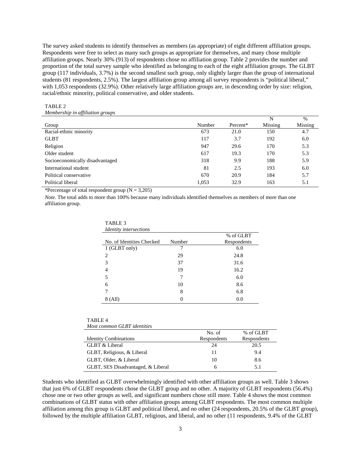The survey asked students to identify themselves as members (as appropriate) of eight different affiliation groups. Respondents were free to select as many such groups as appropriate for themselves, and many chose multiple affiliation groups. Nearly 30% (913) of respondents chose no affiliation group. Table 2 provides the number and proportion of the total survey sample who identified as belonging to each of the eight affiliation groups. The GLBT group (117 individuals, 3.7%) is the second smallest such group, only slightly larger than the group of international students (81 respondents, 2.5%). The largest affiliation group among all survey respondents is "political liberal," with 1,053 respondents (32.9%). Other relatively large affiliation groups are, in descending order by size: religion, racial/ethnic minority, political conservative, and older students.

#### TABLE 2 *Membership in affiliation groups*

|                                 |        |          | N       | $\%$    |
|---------------------------------|--------|----------|---------|---------|
| Group                           | Number | Percent* | Missing | Missing |
| Racial-ethnic minority          | 673    | 21.0     | 150     | 4.7     |
| <b>GLBT</b>                     | 117    | 3.7      | 192     | 6.0     |
| Religion                        | 947    | 29.6     | 170     | 5.3     |
| Older student                   | 617    | 19.3     | 170     | 5.3     |
| Socioeconomically disadvantaged | 318    | 9.9      | 188     | 5.9     |
| International student           | 81     | 2.5      | 193     | 6.0     |
| Political conservative          | 670    | 20.9     | 184     | 5.7     |
| Political liberal               | 1,053  | 32.9     | 163     | 5.1     |

\*Percentage of total respondent group  $(N = 3,205)$ 

*Note*. The total adds to more than 100% because many individuals identified themselves as members of more than one affiliation group.

| 11 D D D D                    |        |             |
|-------------------------------|--------|-------------|
| <b>Identity</b> intersections |        |             |
|                               |        | % of GLBT   |
| No. of Identities Checked     | Number | Respondents |
| 1 (GLBT only)                 | 7      | 6.0         |
| 2                             | 29     | 24.8        |
| 3                             | 37     | 31.6        |
| 4                             | 19     | 16.2        |
| 5                             |        | 6.0         |
| 6                             | 10     | 8.6         |
|                               | 8      | 6.8         |
| 8 (All)                       |        | 0.0         |

TABLE 3

| TABLE <sub>4</sub>          |
|-----------------------------|
| Most common GLBT identities |

|                                    | No. of      | % of GLBT   |
|------------------------------------|-------------|-------------|
| <b>Identity Combinations</b>       | Respondents | Respondents |
| GLBT & Liberal                     | 24          | 20.5        |
| GLBT, Religious, & Liberal         | 11          | 9.4         |
| GLBT, Older, & Liberal             | 10          | 8.6         |
| GLBT, SES Disadvantaged, & Liberal | h           | 5.1         |

Students who identified as GLBT overwhelmingly identified with other affiliation groups as well. Table 3 shows that just 6% of GLBT respondents chose the GLBT group and no other. A majority of GLBT respondents (56.4%) chose one or two other groups as well, and significant numbers chose still more. Table 4 shows the most common combinations of GLBT status with other affiliation groups among GLBT respondents. The most common multiple affiliation among this group is GLBT and political liberal, and no other (24 respondents, 20.5% of the GLBT group), followed by the multiple affiliation GLBT, religious, and liberal, and no other (11 respondents, 9.4% of the GLBT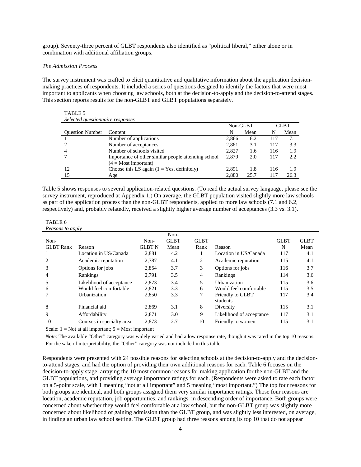group). Seventy-three percent of GLBT respondents also identified as "political liberal," either alone or in combination with additional affiliation groups.

#### *The Admission Process*

TABLE 5

The survey instrument was crafted to elicit quantitative and qualitative information about the application decisionmaking practices of respondents. It included a series of questions designed to identify the factors that were most important to applicants when choosing law schools, both at the decision-to-apply and the decision-to-attend stages. This section reports results for the non-GLBT and GLBT populations separately.

| Selected questionnaire responses |                                                     |          |      |             |      |  |  |  |  |
|----------------------------------|-----------------------------------------------------|----------|------|-------------|------|--|--|--|--|
|                                  |                                                     | Non-GLBT |      | <b>GLBT</b> |      |  |  |  |  |
| <b>Ouestion Number</b>           | Content                                             |          | Mean | N           | Mean |  |  |  |  |
|                                  | Number of applications                              | 2.866    | 6.2  | 117         | 7.1  |  |  |  |  |
|                                  | Number of acceptances                               | 2,861    | 3.1  | 117         | 3.3  |  |  |  |  |
|                                  | Number of schools visited                           | 2.827    | 1.6  | 116         | 1.9  |  |  |  |  |
|                                  | Importance of other similar people attending school | 2.879    | 2.0  | 117         | 2.2  |  |  |  |  |
|                                  | $(4 = Most important)$                              |          |      |             |      |  |  |  |  |
| 12                               | Choose this LS again $(1 = Yes, definitely)$        | 2.891    | 1.8  | 116         | 1.9  |  |  |  |  |
| 15                               | Age                                                 | 2.880    | 25.7 | 117         | 26.3 |  |  |  |  |

Table 5 shows responses to several application-related questions. (To read the actual survey language, please see the survey instrument, reproduced at Appendix 1.) On average, the GLBT population visited slightly more law schools as part of the application process than the non-GLBT respondents, applied to more law schools (7.1 and 6.2, respectively) and, probably relatedly, received a slightly higher average number of acceptances (3.3 vs. 3.1).

### TABLE 6

*Reasons to apply* 

|                  |                                                                                                  |               | Non-        |             |                              |             |             |
|------------------|--------------------------------------------------------------------------------------------------|---------------|-------------|-------------|------------------------------|-------------|-------------|
| Non-             |                                                                                                  | Non-          | <b>GLBT</b> | <b>GLBT</b> |                              | <b>GLBT</b> | <b>GLBT</b> |
| <b>GLBT</b> Rank | Reason                                                                                           | <b>GLBT N</b> | Mean        | Rank        | Reason                       | N           | Mean        |
|                  | Location in US/Canada                                                                            | 2,881         | 4.2         |             | Location in US/Canada        | 117         | 4.1         |
|                  | Academic reputation                                                                              | 2.787         | 4.1         | 2           | Academic reputation          | 115         | 4.1         |
| 3                | Options for jobs                                                                                 | 2,854         | 3.7         | 3           | Options for jobs             | 116         | 3.7         |
| 4                | Rankings                                                                                         | 2,791         | 3.5         | 4           | Rankings                     | 114         | 3.6         |
|                  | Likelihood of acceptance                                                                         | 2.873         | 3.4         | 5           | Urbanization                 | 115         | 3.6         |
| 6                | Would feel comfortable                                                                           | 2,821         | 3.3         | 6           | Would feel comfortable       | 115         | 3.5         |
|                  | Urbanization                                                                                     | 2.850         | 3.3         | 7           | Friendly to GLBT<br>students | 117         | 3.4         |
| 8                | Financial aid                                                                                    | 2,869         | 3.1         | 8           | Diversity                    | 115         | 3.1         |
| 9                | Affordability                                                                                    | 2.871         | 3.0         | 9           | Likelihood of acceptance     | 117         | 3.1         |
| 10               | Courses in specialty area                                                                        | 2,873         | 2.7         | 10          | Friendly to women            | 115         | 3.1         |
| $C_1$ 1 1        | $\mathbf{M}$ and $\mathbf{M}$ is a set of $\mathbf{M}$ and $\mathbf{M}$ is a set of $\mathbf{M}$ |               |             |             |                              |             |             |

Scale:  $1 = Not$  at all important;  $5 = Most$  important

*Note*: The available "Other" category was widely varied and had a low response rate, though it was rated in the top 10 reasons. For the sake of interpretability, the "Other" category was not included in this table.

Respondents were presented with 24 possible reasons for selecting schools at the decision-to-apply and the decisionto-attend stages, and had the option of providing their own additional reasons for each. Table 6 focuses on the decision-to-apply stage, arraying the 10 most common reasons for making application for the non-GLBT and the GLBT populations, and providing average importance ratings for each. (Respondents were asked to rate each factor on a 5-point scale, with 1 meaning "not at all important" and 5 meaning "most important.") The top four reasons for both groups are identical, and both groups assigned them very similar importance ratings. Those four reasons are location, academic reputation, job opportunities, and rankings, in descending order of importance. Both groups were concerned about whether they would feel comfortable at a law school, but the non-GLBT group was slightly more concerned about likelihood of gaining admission than the GLBT group, and was slightly less interested, on average, in finding an urban law school setting. The GLBT group had three reasons among its top 10 that do not appear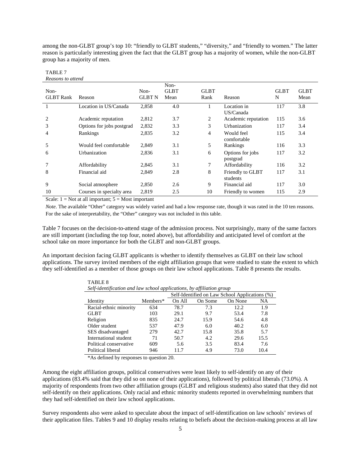among the non-GLBT group's top 10: "friendly to GLBT students," "diversity," and "friendly to women." The latter reason is particularly interesting given the fact that the GLBT group has a majority of women, while the non-GLBT group has a majority of men.

| Non-             |                           | Non-          | Non-<br><b>GLBT</b> | <b>GLBT</b>    |                              | <b>GLBT</b> | <b>GLBT</b> |
|------------------|---------------------------|---------------|---------------------|----------------|------------------------------|-------------|-------------|
| <b>GLBT</b> Rank | Reason                    | <b>GLBT N</b> | Mean                | Rank           | Reason                       | N           | Mean        |
|                  | Location in US/Canada     | 2,858         | 4.0                 |                | Location in<br>US/Canada     | 117         | 3.8         |
| $\overline{2}$   | Academic reputation       | 2,812         | 3.7                 | 2              | Academic reputation          | 115         | 3.6         |
| 3                | Options for jobs postgrad | 2,832         | 3.3                 | 3              | Urbanization                 | 117         | 3.4         |
| 4                | Rankings                  | 2,835         | 3.2                 | $\overline{4}$ | Would feel<br>comfortable    | 115         | 3.4         |
| 5                | Would feel comfortable    | 2,849         | 3.1                 | 5              | Rankings                     | 116         | 3.3         |
| 6                | Urbanization              | 2,836         | 3.1                 | 6              | Options for jobs<br>postgrad | 117         | 3.2         |
|                  | Affordability             | 2,845         | 3.1                 | $\tau$         | Affordability                | 116         | 3.2         |
| 8                | Financial aid             | 2,849         | 2.8                 | 8              | Friendly to GLBT<br>students | 117         | 3.1         |
| 9                | Social atmosphere         | 2,850         | 2.6                 | 9              | Financial aid                | 117         | 3.0         |
| 10               | Courses in specialty area | 2.819         | 2.5                 | 10             | Friendly to women            | 115         | 2.9         |

#### TABLE 7 *Reasons to attend*

Scale:  $1 = Not$  at all important;  $5 = Most important$ 

*Note*. The available "Other" category was widely varied and had a low response rate, though it was rated in the 10 ten reasons. For the sake of interpretability, the "Other" category was not included in this table.

Table 7 focuses on the decision-to-attend stage of the admission process. Not surprisingly, many of the same factors are still important (including the top four, noted above), but affordability and anticipated level of comfort at the school take on more importance for both the GLBT and non-GLBT groups.

An important decision facing GLBT applicants is whether to identify themselves as GLBT on their law school applications. The survey invited members of the eight affiliation groups that were studied to state the extent to which they self-identified as a member of those groups on their law school applications. Table 8 presents the results.

| Self-identification and law school applications, by affiliation group |                                                |        |         |         |      |  |  |  |  |  |
|-----------------------------------------------------------------------|------------------------------------------------|--------|---------|---------|------|--|--|--|--|--|
|                                                                       | Self-Identified on Law School Applications (%) |        |         |         |      |  |  |  |  |  |
| Identity                                                              | Members*                                       | On All | On Some | On None | NA   |  |  |  |  |  |
| Racial-ethnic minority                                                | 634                                            | 78.7   | 7.3     | 12.2    | 1.9  |  |  |  |  |  |
| <b>GLBT</b>                                                           | 103                                            | 29.1   | 9.7     | 53.4    | 7.8  |  |  |  |  |  |
| Religion                                                              | 835                                            | 24.7   | 15.9    | 54.6    | 4.8  |  |  |  |  |  |
| Older student                                                         | 537                                            | 47.9   | 6.0     | 40.2    | 6.0  |  |  |  |  |  |
| SES disadvantaged                                                     | 279                                            | 42.7   | 15.8    | 35.8    | 5.7  |  |  |  |  |  |
| International student                                                 | 71                                             | 50.7   | 4.2     | 29.6    | 15.5 |  |  |  |  |  |
| Political conservative                                                | 609                                            | 5.6    | 3.5     | 83.4    | 7.6  |  |  |  |  |  |
| Political liberal                                                     | 946                                            | 11.7   | 4.9     | 73.0    | 10.4 |  |  |  |  |  |

TABLE 8 *Self-identification and law school applications, by affiliation group* 

\*As defined by responses to question 20.

Among the eight affiliation groups, political conservatives were least likely to self-identify on any of their applications (83.4% said that they did so on none of their applications), followed by political liberals (73.0%). A majority of respondents from two other affiliation groups (GLBT and religious students) also stated that they did not self-identify on their applications. Only racial and ethnic minority students reported in overwhelming numbers that they had self-identified on their law school applications.

Survey respondents also were asked to speculate about the impact of self-identification on law schools' reviews of their application files. Tables 9 and 10 display results relating to beliefs about the decision-making process at all law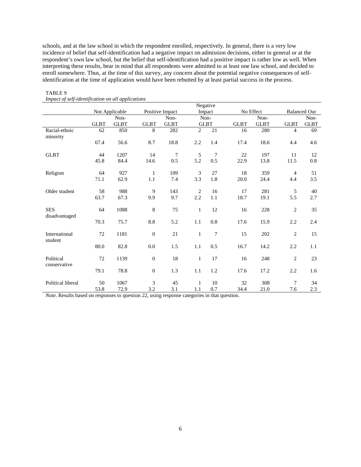schools, and at the law school in which the respondent enrolled, respectively. In general, there is a very low incidence of belief that self-identification had a negative impact on admission decisions, either in general or at the respondent's own law school, but the belief that self-identification had a positive impact is rather low as well. When interpreting these results, bear in mind that all respondents were admitted to at least one law school, and decided to enroll somewhere. Thus, at the time of this survey, any concern about the potential negative consequences of selfidentification at the time of application would have been rebutted by at least partial success in the process.

|                             |             |                |                  |                 |                | Negative       |             |             |                |                     |
|-----------------------------|-------------|----------------|------------------|-----------------|----------------|----------------|-------------|-------------|----------------|---------------------|
|                             |             | Not Applicable |                  | Positive Impact |                | Impact         |             | No Effect   |                | <b>Balanced Out</b> |
|                             |             | Non-           |                  | Non-            |                | Non-           |             | Non-        |                | Non-                |
|                             | <b>GLBT</b> | <b>GLBT</b>    | <b>GLBT</b>      | <b>GLBT</b>     |                | <b>GLBT</b>    | <b>GLBT</b> | <b>GLBT</b> | <b>GLBT</b>    | <b>GLBT</b>         |
| Racial-ethnic               | 62          | 850            | 8                | 282             | $\overline{2}$ | 21             | 16          | 280         | $\overline{4}$ | 69                  |
| minority                    |             |                |                  |                 |                |                |             |             |                |                     |
|                             | 67.4        | 56.6           | 8.7              | 18.8            | 2.2            | 1.4            | 17.4        | 18.6        | 4.4            | 4.6                 |
| <b>GLBT</b>                 | 44          | 1207           | 14               | 7               | 5              | $\overline{7}$ | 22          | 197         | 11             | 12                  |
|                             | 45.8        | 84.4           | 14.6             | 0.5             | 5.2            | 0.5            | 22.9        | 13.8        | 11.5           | $0.8\,$             |
| Religion                    | 64          | 927            | 1                | 109             | $\mathfrak{Z}$ | 27             | 18          | 359         | $\overline{4}$ | 51                  |
|                             | 71.1        | 62.9           | 1.1              | 7.4             | 3.3            | 1.8            | 20.0        | 24.4        | 4.4            | 3.5                 |
| Older student               | 58          | 988            | 9                | 143             | 2              | 16             | 17          | 281         | 5              | 40                  |
|                             | 63.7        | 67.3           | 9.9              | 9.7             | 2.2            | 1.1            | 18.7        | 19.1        | 5.5            | 2.7                 |
| <b>SES</b><br>disadvantaged | 64          | 1088           | 8                | 75              | $\mathbf{1}$   | 12             | 16          | 228         | $\overline{c}$ | 35                  |
|                             | 70.3        | 75.7           | 8.8              | 5.2             | 1.1            | 0.8            | 17.6        | 15.9        | 2.2            | 2.4                 |
| International<br>student    | 72          | 1181           | $\boldsymbol{0}$ | 21              | $\mathbf{1}$   | $\overline{7}$ | 15          | 202         | $\overline{c}$ | 15                  |
|                             | 80.0        | 82.8           | 0.0              | 1.5             | 1.1            | 0.5            | 16.7        | 14.2        | 2.2            | 1.1                 |
| Political<br>conservative   | 72          | 1139           | $\boldsymbol{0}$ | 18              | $\mathbf{1}$   | 17             | 16          | 248         | $\overline{c}$ | 23                  |
|                             | 79.1        | 78.8           | $\boldsymbol{0}$ | 1.3             | 1.1            | 1.2            | 17.6        | 17.2        | 2.2            | 1.6                 |
| Political liberal           | 50          | 1067           | 3                | 45              | 1              | 10             | 32          | 308         | $\overline{7}$ | 34                  |
|                             | 53.8        | 72.9           | 3.2              | 3.1             | 1.1            | 0.7            | 34.4        | 21.0        | 7.6            | 2.3                 |

#### TABLE 9 *Impact of self-identification on all applications*

*Note*. Results based on responses to question 22, using response categories in that question.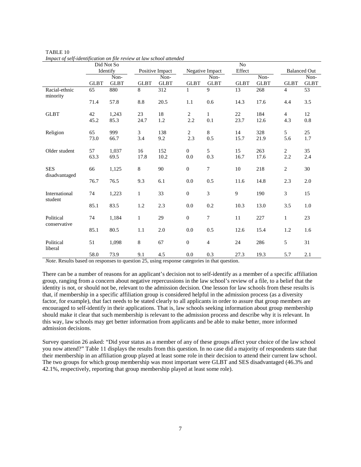|                             |             | Did Not So  |              |                 |                  |                 | ${\rm No}$  |             |                |                     |
|-----------------------------|-------------|-------------|--------------|-----------------|------------------|-----------------|-------------|-------------|----------------|---------------------|
|                             |             | Identify    |              | Positive Impact |                  | Negative Impact | Effect      |             |                | <b>Balanced Out</b> |
|                             |             | Non-        |              | Non-            |                  | Non-            |             | Non-        |                | Non-                |
|                             | <b>GLBT</b> | <b>GLBT</b> | <b>GLBT</b>  | <b>GLBT</b>     | <b>GLBT</b>      | <b>GLBT</b>     | <b>GLBT</b> | <b>GLBT</b> | <b>GLBT</b>    | <b>GLBT</b>         |
| Racial-ethnic<br>minority   | 65          | 880         | 8            | 312             | $\mathbf{1}$     | 9               | 13          | 268         | $\overline{4}$ | 53                  |
|                             | 71.4        | 57.8        | 8.8          | 20.5            | 1.1              | 0.6             | 14.3        | 17.6        | 4.4            | 3.5                 |
| <b>GLBT</b>                 | 42          | 1,243       | 23           | 18              | $\overline{2}$   | $\mathbf{1}$    | 22          | 184         | $\overline{4}$ | 12                  |
|                             | 45.2        | 85.3        | 24.7         | 1.2             | 2.2              | 0.1             | 23.7        | 12.6        | 4.3            | 0.8                 |
| Religion                    | 65          | 999         | 3            | 138             | $\overline{2}$   | 8               | 14          | 328         | 5              | 25                  |
|                             | 73.0        | 66.7        | 3.4          | 9.2             | 2.3              | 0.5             | 15.7        | 21.9        | 5.6            | 1.7                 |
| Older student               | 57          | 1,037       | 16           | 152             | $\overline{0}$   | 5               | 15          | 263         | $\overline{2}$ | 35                  |
|                             | 63.3        | 69.5        | 17.8         | 10.2            | 0.0              | 0.3             | 16.7        | 17.6        | 2.2            | 2.4                 |
| <b>SES</b><br>disadvantaged | 66          | 1,125       | 8            | 90              | $\boldsymbol{0}$ | $\overline{7}$  | 10          | 218         | 2              | 30                  |
|                             | 76.7        | 76.5        | 9.3          | 6.1             | 0.0              | 0.5             | 11.6        | 14.8        | 2.3            | 2.0                 |
| International<br>student    | 74          | 1,223       | $\mathbf{1}$ | 33              | $\boldsymbol{0}$ | 3               | 9           | 190         | 3              | 15                  |
|                             | 85.1        | 83.5        | 1.2          | 2.3             | 0.0              | 0.2             | 10.3        | 13.0        | 3.5            | 1.0                 |
| Political<br>conservative   | 74          | 1,184       | $\mathbf{1}$ | 29              | $\boldsymbol{0}$ | $\tau$          | 11          | 227         | 1              | 23                  |
|                             | 85.1        | 80.5        | 1.1          | 2.0             | 0.0              | 0.5             | 12.6        | 15.4        | 1.2            | 1.6                 |
| Political<br>liberal        | 51          | 1,098       | 8            | 67              | $\overline{0}$   | $\overline{4}$  | 24          | 286         | 5              | 31                  |
|                             | 58.0        | 73.9        | 9.1          | 4.5             | 0.0              | 0.3             | 27.3        | 19.3        | 5.7            | 2.1                 |

TABLE 10 *Impact of self-identification on file review at law school attended* 

*Note*. Results based on responses to question 25, using response categories in that question.

There can be a number of reasons for an applicant's decision not to self-identify as a member of a specific affiliation group, ranging from a concern about negative repercussions in the law school's review of a file, to a belief that the identity is not, or should not be, relevant to the admission decision. One lesson for law schools from these results is that, if membership in a specific affiliation group is considered helpful in the admission process (as a diversity factor, for example), that fact needs to be stated clearly to all applicants in order to assure that group members are encouraged to self-identify in their applications. That is, law schools seeking information about group membership should make it clear that such membership is relevant to the admission process and describe why it is relevant. In this way, law schools may get better information from applicants and be able to make better, more informed admission decisions.

Survey question 26 asked: "Did your status as a member of any of these groups affect your choice of the law school you now attend?" Table 11 displays the results from this question. In no case did a majority of respondents state that their membership in an affiliation group played at least some role in their decision to attend their current law school. The two groups for which group membership was most important were GLBT and SES disadvantaged (46.3% and 42.1%, respectively, reporting that group membership played at least some role).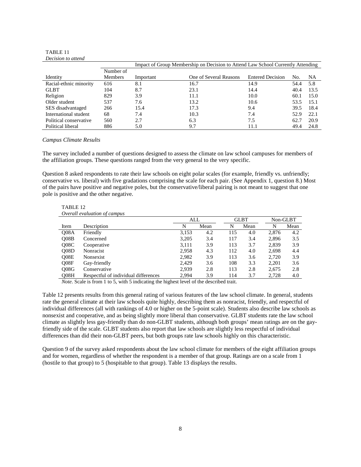#### TABLE 11 *Decision to attend*

|                        |           | Impact of Group Membership on Decision to Attend Law School Currently Attending |                        |                         |      |      |  |  |  |
|------------------------|-----------|---------------------------------------------------------------------------------|------------------------|-------------------------|------|------|--|--|--|
|                        | Number of |                                                                                 |                        |                         |      |      |  |  |  |
| Identity               | Members   | Important                                                                       | One of Several Reasons | <b>Entered Decision</b> | No.  | NA   |  |  |  |
| Racial-ethnic minority | 616       | 8.1                                                                             | 16.7                   | 14.9                    | 54.4 | 5.8  |  |  |  |
| <b>GLBT</b>            | 104       | 8.7                                                                             | 23.1                   | 14.4                    | 40.4 | 13.5 |  |  |  |
| Religion               | 829       | 3.9                                                                             | 11.1                   | 10.0                    | 60.1 | 15.0 |  |  |  |
| Older student          | 537       | 7.6                                                                             | 13.2                   | 10.6                    | 53.5 | 15.1 |  |  |  |
| SES disadvantaged      | 266       | 15.4                                                                            | 17.3                   | 9.4                     | 39.5 | 18.4 |  |  |  |
| International student  | 68        | 7.4                                                                             | 10.3                   | 7.4                     | 52.9 | 22.1 |  |  |  |
| Political conservative | 560       | 2.7                                                                             | 6.3                    | 7.5                     | 62.7 | 20.9 |  |  |  |
| Political liberal      | 886       | 5.0                                                                             | 9.7                    | 11.1                    | 49.4 | 24.8 |  |  |  |

#### *Campus Climate Results*

The survey included a number of questions designed to assess the climate on law school campuses for members of the affiliation groups. These questions ranged from the very general to the very specific.

Question 8 asked respondents to rate their law schools on eight polar scales (for example, friendly vs. unfriendly; conservative vs. liberal) with five gradations comprising the scale for each pair. (See Appendix 1, question 8.) Most of the pairs have positive and negative poles, but the conservative/liberal pairing is not meant to suggest that one pole is positive and the other negative.

| TABLE <sub>12</sub> | Overall evaluation of campus         |       |      |     |             |       |          |
|---------------------|--------------------------------------|-------|------|-----|-------------|-------|----------|
|                     |                                      | ALL   |      |     | <b>GLBT</b> |       | Non-GLBT |
| Item                | Description                          | N     | Mean | N   | Mean        | N     | Mean     |
| <b>O08A</b>         | Friendly                             | 3,153 | 4.2  | 115 | 4.0         | 2,876 | 4.2      |
| O <sub>08B</sub>    | Concerned                            | 3,205 | 3.4  | 117 | 3.4         | 2,896 | 3.5      |
| O08C                | Cooperative                          | 3.111 | 3.9  | 113 | 3.7         | 2,839 | 3.9      |
| O08D                | Nonracist                            | 2.958 | 4.3  | 112 | 4.0         | 2.698 | 4.4      |
| 008E                | Nonsexist                            | 2,982 | 3.9  | 113 | 3.6         | 2.720 | 3.9      |
| O08F                | Gay-friendly                         | 2.429 | 3.6  | 108 | 3.3         | 2,201 | 3.6      |
| O <sub>08G</sub>    | Conservative                         | 2.939 | 2.8  | 113 | 2.8         | 2.675 | 2.8      |
| O <sub>08H</sub>    | Respectful of individual differences | 2.994 | 3.9  | 114 | 3.7         | 2.728 | 4.0      |

*Note*. Scale is from 1 to 5, with 5 indicating the highest level of the described trait.

Table 12 presents results from this general rating of various features of the law school climate. In general, students rate the general climate at their law schools quite highly, describing them as nonracist, friendly, and respectful of individual differences (all with rankings of 4.0 or higher on the 5-point scale). Students also describe law schools as nonsexist and cooperative, and as being slightly more liberal than conservative. GLBT students rate the law school climate as slightly less gay-friendly than do non-GLBT students, although both groups' mean ratings are on the gayfriendly side of the scale. GLBT students also report that law schools are slightly less respectful of individual differences than did their non-GLBT peers, but both groups rate law schools highly on this characteristic.

Question 9 of the survey asked respondents about the law school climate for members of the eight affiliation groups and for women, regardless of whether the respondent is a member of that group. Ratings are on a scale from 1 (hostile to that group) to 5 (hospitable to that group). Table 13 displays the results.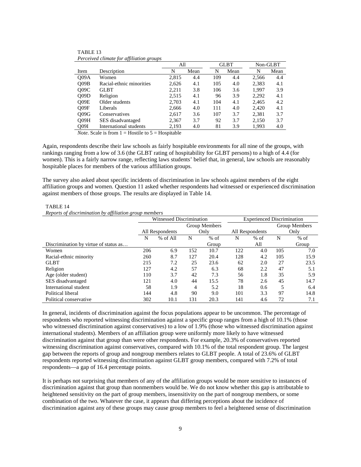|                   | I creeived cumule for afflication groups |       |      |     |             |          |      |
|-------------------|------------------------------------------|-------|------|-----|-------------|----------|------|
|                   |                                          | All   |      |     | <b>GLBT</b> | Non-GLBT |      |
| Item              | Description                              | N     | Mean | N   | Mean        | N        | Mean |
| O <sub>09</sub> A | Women                                    | 2,815 | 4.4  | 109 | 4.4         | 2,566    | 4.4  |
| O <sub>09B</sub>  | Racial-ethnic minorities                 | 2,626 | 4.1  | 105 | 4.0         | 2,383    | 4.1  |
| 009C              | <b>GLBT</b>                              | 2,211 | 3.8  | 106 | 3.6         | 1.997    | 3.9  |
| O <sub>09D</sub>  | Religion                                 | 2,515 | 4.1  | 96  | 3.9         | 2.292    | 4.1  |
| O09E              | Older students                           | 2,703 | 4.1  | 104 | 4.1         | 2,465    | 4.2  |
| O09F              | Liberals                                 | 2,666 | 4.0  | 111 | 4.0         | 2.420    | 4.1  |
| O09G              | Conservatives                            | 2,617 | 3.6  | 107 | 3.7         | 2,381    | 3.7  |
| O <sub>09H</sub>  | SES disadvantaged                        | 2,367 | 3.7  | 92  | 3.7         | 2.150    | 3.7  |
| Q09I              | International students                   | 2.193 | 4.0  | 81  | 3.9         | 1.993    | 4.0  |

TABLE 13 *Perceived climate for affiliation groups* 

*Note*. Scale is from  $1 =$  Hostile to  $5 =$  Hospitable

Again, respondents describe their law schools as fairly hospitable environments for all nine of the groups, with rankings ranging from a low of 3.6 (the GLBT rating of hospitability for GLBT persons) to a high of 4.4 (for women). This is a fairly narrow range, reflecting laws students' belief that, in general, law schools are reasonably hospitable places for members of the various affiliation groups.

The survey also asked about specific incidents of discrimination in law schools against members of the eight affiliation groups and women. Question 11 asked whether respondents had witnessed or experienced discrimination against members of those groups. The results are displayed in Table 14.

TABLE 14 *Reports of discrimination by affiliation group members* 

|                                       | Witnessed Discrimination |               |      | <b>Experienced Discrimination</b> |                 |        |      |               |
|---------------------------------------|--------------------------|---------------|------|-----------------------------------|-----------------|--------|------|---------------|
|                                       |                          | Group Members |      |                                   |                 |        |      | Group Members |
|                                       | All Respondents          |               | Only |                                   | All Respondents |        | Only |               |
|                                       | N                        | % of All      | N    | $%$ of                            | N               | $%$ of | N    | $%$ of        |
| Discrimination by virtue of status as |                          |               |      | Group                             |                 | All    |      | Group         |
| Women                                 | 206                      | 6.9           | 152  | 10.7                              | 122             | 4.0    | 105  | 7.0           |
| Racial-ethnic minority                | 260                      | 8.7           | 127  | 20.4                              | 128             | 4.2    | 105  | 15.9          |
| <b>GLBT</b>                           | 215                      | 7.2           | 25   | 23.6                              | 62              | 2.0    | 27   | 23.5          |
| Religion                              | 127                      | 4.2           | 57   | 6.3                               | 68              | 2.2    | 47   | 5.1           |
| Age (older student)                   | 110                      | 3.7           | 42   | 7.3                               | 56              | 1.8    | 35   | 5.9           |
| SES disadvantaged                     | 121                      | 4.0           | 44   | 15.5                              | 78              | 2.6    | 45   | 14.7          |
| International student                 | 58                       | 1.9           | 4    | 5.2                               | 18              | 0.6    | 5    | 6.4           |
| Political liberal                     | 144                      | 4.8           | 90   | 9.0                               | 101             | 3.3    | 97   | 14.8          |
| Political conservative                | 302                      | 10.1          | 131  | 20.3                              | 141             | 4.6    | 72   | 7.1           |

In general, incidents of discrimination against the focus populations appear to be uncommon. The percentage of respondents who reported witnessing discrimination against a specific group ranges from a high of 10.1% (those who witnessed discrimination against conservatives) to a low of 1.9% (those who witnessed discrimination against international students). Members of an affiliation group were uniformly more likely to have witnessed discrimination against that group than were other respondents. For example, 20.3% of conservatives reported witnessing discrimination against conservatives, compared with 10.1% of the total respondent group. The largest gap between the reports of group and nongroup members relates to GLBT people. A total of 23.6% of GLBT respondents reported witnessing discrimination against GLBT group members, compared with 7.2% of total respondents—a gap of 16.4 percentage points.

It is perhaps not surprising that members of any of the affiliation groups would be more sensitive to instances of discrimination against that group than nonmembers would be. We do not know whether this gap is attributable to heightened sensitivity on the part of group members, insensitivity on the part of nongroup members, or some combination of the two. Whatever the case, it appears that differing perceptions about the incidence of discrimination against any of these groups may cause group members to feel a heightened sense of discrimination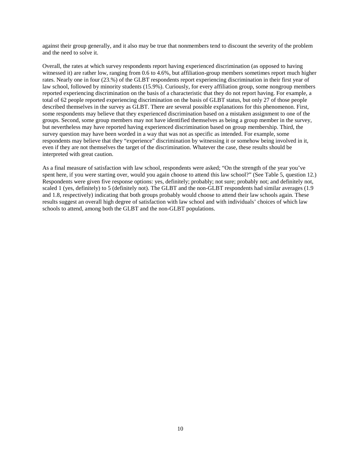against their group generally, and it also may be true that nonmembers tend to discount the severity of the problem and the need to solve it.

Overall, the rates at which survey respondents report having experienced discrimination (as opposed to having witnessed it) are rather low, ranging from 0.6 to 4.6%, but affiliation-group members sometimes report much higher rates. Nearly one in four (23.%) of the GLBT respondents report experiencing discrimination in their first year of law school, followed by minority students (15.9%). Curiously, for every affiliation group, some nongroup members reported experiencing discrimination on the basis of a characteristic that they do not report having. For example, a total of 62 people reported experiencing discrimination on the basis of GLBT status, but only 27 of those people described themselves in the survey as GLBT. There are several possible explanations for this phenomenon. First, some respondents may believe that they experienced discrimination based on a mistaken assignment to one of the groups. Second, some group members may not have identified themselves as being a group member in the survey, but nevertheless may have reported having experienced discrimination based on group membership. Third, the survey question may have been worded in a way that was not as specific as intended. For example, some respondents may believe that they "experience" discrimination by witnessing it or somehow being involved in it, even if they are not themselves the target of the discrimination. Whatever the case, these results should be interpreted with great caution.

As a final measure of satisfaction with law school, respondents were asked; "On the strength of the year you've spent here, if you were starting over, would you again choose to attend this law school?" (See Table 5, question 12.) Respondents were given five response options: yes, definitely; probably; not sure; probably not; and definitely not, scaled 1 (yes, definitely) to 5 (definitely not). The GLBT and the non-GLBT respondents had similar averages (1.9) and 1.8, respectively) indicating that both groups probably would choose to attend their law schools again. These results suggest an overall high degree of satisfaction with law school and with individuals' choices of which law schools to attend, among both the GLBT and the non-GLBT populations.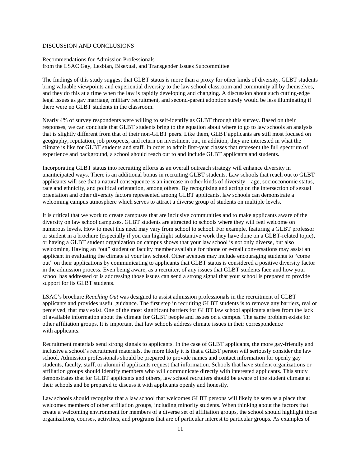### DISCUSSION AND CONCLUSIONS

Recommendations for Admission Professionals from the LSAC Gay, Lesbian, Bisexual, and Transgender Issues Subcommittee

The findings of this study suggest that GLBT status is more than a proxy for other kinds of diversity. GLBT students bring valuable viewpoints and experiential diversity to the law school classroom and community all by themselves, and they do this at a time when the law is rapidly developing and changing. A discussion about such cutting-edge legal issues as gay marriage, military recruitment, and second-parent adoption surely would be less illuminating if there were no GLBT students in the classroom.

Nearly 4% of survey respondents were willing to self-identify as GLBT through this survey. Based on their responses, we can conclude that GLBT students bring to the equation about where to go to law schools an analysis that is slightly different from that of their non-GLBT peers. Like them, GLBT applicants are still most focused on geography, reputation, job prospects, and return on investment but, in addition, they are interested in what the climate is like for GLBT students and staff. In order to admit first-year classes that represent the full spectrum of experience and background, a school should reach out to and include GLBT applicants and students.

Incorporating GLBT status into recruiting efforts as an overall outreach strategy will enhance diversity in unanticipated ways. There is an additional bonus in recruiting GLBT students. Law schools that reach out to GLBT applicants will see that a natural consequence is an increase in other kinds of diversity—age, socioeconomic status, race and ethnicity, and political orientation, among others. By recognizing and acting on the intersection of sexual orientation and other diversity factors represented among GLBT applicants, law schools can demonstrate a welcoming campus atmosphere which serves to attract a diverse group of students on multiple levels.

It is critical that we work to create campuses that are inclusive communities and to make applicants aware of the diversity on law school campuses. GLBT students are attracted to schools where they will feel welcome on numerous levels. How to meet this need may vary from school to school. For example, featuring a GLBT professor or student in a brochure (especially if you can highlight substantive work they have done on a GLBT-related topic), or having a GLBT student organization on campus shows that your law school is not only diverse, but also welcoming. Having an "out" student or faculty member available for phone or e-mail conversations may assist an applicant in evaluating the climate at your law school. Other avenues may include encouraging students to "come out" on their applications by communicating to applicants that GLBT status is considered a positive diversity factor in the admission process. Even being aware, as a recruiter, of any issues that GLBT students face and how your school has addressed or is addressing those issues can send a strong signal that your school is prepared to provide support for its GLBT students.

LSAC's brochure *Reaching Out* was designed to assist admission professionals in the recruitment of GLBT applicants and provides useful guidance. The first step in recruiting GLBT students is to remove any barriers, real or perceived, that may exist. One of the most significant barriers for GLBT law school applicants arises from the lack of available information about the climate for GLBT people and issues on a campus. The same problem exists for other affiliation groups. It is important that law schools address climate issues in their correspondence with applicants.

Recruitment materials send strong signals to applicants. In the case of GLBT applicants, the more gay-friendly and inclusive a school's recruitment materials, the more likely it is that a GLBT person will seriously consider the law school. Admission professionals should be prepared to provide names and contact information for openly gay students, faculty, staff, or alumni if applicants request that information. Schools that have student organizations or affiliation groups should identify members who will communicate directly with interested applicants. This study demonstrates that for GLBT applicants and others, law school recruiters should be aware of the student climate at their schools and be prepared to discuss it with applicants openly and honestly.

Law schools should recognize that a law school that welcomes GLBT persons will likely be seen as a place that welcomes members of other affiliation groups, including minority students. When thinking about the factors that create a welcoming environment for members of a diverse set of affiliation groups, the school should highlight those organizations, courses, activities, and programs that are of particular interest to particular groups. As examples of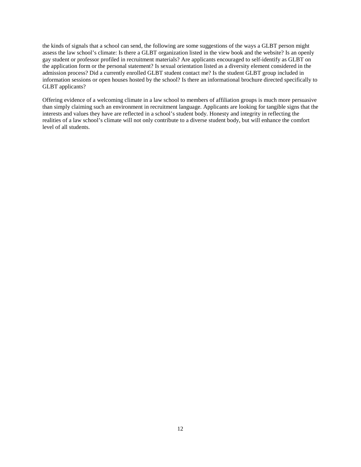the kinds of signals that a school can send, the following are some suggestions of the ways a GLBT person might assess the law school's climate: Is there a GLBT organization listed in the view book and the website? Is an openly gay student or professor profiled in recruitment materials? Are applicants encouraged to self-identify as GLBT on the application form or the personal statement? Is sexual orientation listed as a diversity element considered in the admission process? Did a currently enrolled GLBT student contact me? Is the student GLBT group included in information sessions or open houses hosted by the school? Is there an informational brochure directed specifically to GLBT applicants?

Offering evidence of a welcoming climate in a law school to members of affiliation groups is much more persuasive than simply claiming such an environment in recruitment language. Applicants are looking for tangible signs that the interests and values they have are reflected in a school's student body. Honesty and integrity in reflecting the realities of a law school's climate will not only contribute to a diverse student body, but will enhance the comfort level of all students.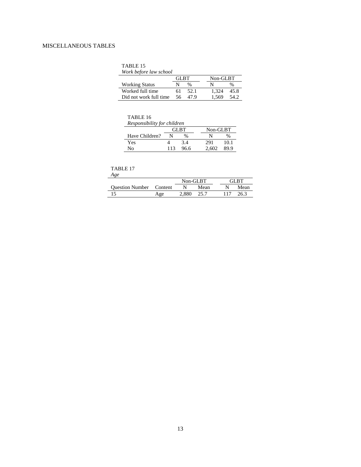## MISCELLANEOUS TABLES

| ABLE. |  |  |
|-------|--|--|
|       |  |  |

| Work before law school |  |
|------------------------|--|
|------------------------|--|

|                        | GL RT |      | Non-GLBT |      |
|------------------------|-------|------|----------|------|
| <b>Working Status</b>  | N     | $\%$ |          | $\%$ |
| Worked full time       | 61    | 52.1 | 1.324    | 45.8 |
| Did not work full time | 56.   | 47.9 | 1.569    | 54.2 |

| TABLE 16 |  |
|----------|--|
|----------|--|

*Responsibility for children* 

|                | <b>GLBT</b> |      |       | Non-GLBT |
|----------------|-------------|------|-------|----------|
| Have Children? | N           | %    | N     | $\%$     |
| Yes            |             | 3.4  | 291   | 10.1     |
| No             | 113         | 96.6 | 2.602 | 89.9     |

### TABLE 17

|                         |     | Non-GLBT |      | 3I RT |
|-------------------------|-----|----------|------|-------|
| Question Number Content |     |          | Mean | Mean  |
|                         | Age |          |      |       |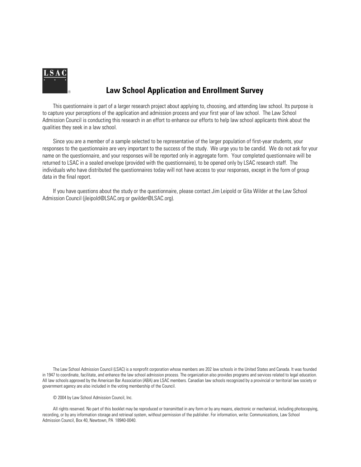

# **Law School Application and Enrollment Survey**

This questionnaire is part of a larger research project about applying to, choosing, and attending law school. Its purpose is to capture your perceptions of the application and admission process and your first year of law school. The Law School Admission Council is conducting this research in an effort to enhance our efforts to help law school applicants think about the qualities they seek in a law school.

Since you are a member of a sample selected to be representative of the larger population of first-year students, your responses to the questionnaire are very important to the success of the study. We urge you to be candid. We do not ask for your name on the questionnaire, and your responses will be reported only in aggregate form. Your completed questionnaire will be returned to LSAC in a sealed envelope (provided with the questionnaire), to be opened only by LSAC research staff. The individuals who have distributed the questionnaires today will not have access to your responses, except in the form of group data in the final report.

If you have questions about the study or the questionnaire, please contact Jim Leipold or Gita Wilder at the Law School Admission Council (jleipold@LSAC.org or gwilder@LSAC.org).

The Law School Admission Council (LSAC) is a nonprofit corporation whose members are 202 law schools in the United States and Canada. It was founded in 1947 to coordinate, facilitate, and enhance the law school admission process. The organization also provides programs and services related to legal education. All law schools approved by the American Bar Association (ABA) are LSAC members. Canadian law schools recognized by a provincial or territorial law society or government agency are also included in the voting membership of the Council.

© 2004 by Law School Admission Council, Inc.

All rights reserved. No part of this booklet may be reproduced or transmitted in any form or by any means, electronic or mechanical, including photocopying, recording, or by any information storage and retrieval system, without permission of the publisher. For information, write: Communications, Law School Admission Council, Box 40, Newtown, PA 18940-0040.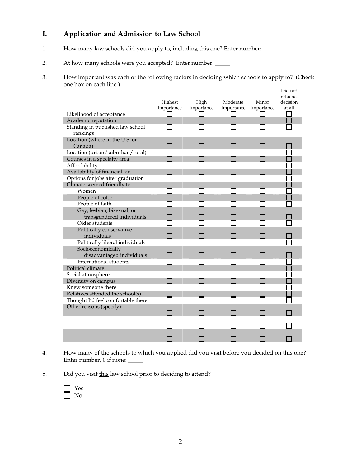## **I. Application and Admission to Law School**

- 1. How many law schools did you apply to, including this one? Enter number: \_\_\_\_\_\_
- 2. At how many schools were you accepted? Enter number: \_\_\_\_\_
- 3. How important was each of the following factors in deciding which schools to apply to? (Check one box on each line.)

|                                              |            |            |            |            | Did not<br>influence |
|----------------------------------------------|------------|------------|------------|------------|----------------------|
|                                              | Highest    | High       | Moderate   | Minor      | decision             |
|                                              | Importance | Importance | Importance | Importance | at all               |
| Likelihood of acceptance                     |            |            |            |            |                      |
| Academic reputation                          |            |            |            |            |                      |
| Standing in published law school<br>rankings |            |            |            |            |                      |
| Location (where in the U.S. or               |            |            |            |            |                      |
| Canada)                                      |            |            |            |            |                      |
| Location (urban/suburban/rural)              |            |            |            |            |                      |
| Courses in a specialty area                  |            |            |            |            |                      |
| Affordability                                |            |            |            |            |                      |
| Availability of financial aid                |            |            |            |            |                      |
| Options for jobs after graduation            |            |            |            |            |                      |
| Climate seemed friendly to                   |            |            |            |            |                      |
| Women                                        |            |            |            |            |                      |
| People of color                              |            |            |            |            |                      |
| People of faith                              |            |            |            |            |                      |
| Gay, lesbian, bisexual, or                   |            |            |            |            |                      |
| transgendered individuals                    |            |            |            |            |                      |
| Older students                               |            |            |            |            |                      |
| Politically conservative                     |            |            |            |            |                      |
| individuals                                  |            |            |            |            |                      |
| Politically liberal individuals              |            |            |            |            |                      |
| Socioeconomically                            |            |            |            |            |                      |
| disadvantaged individuals                    |            |            |            |            |                      |
| International students                       |            |            |            |            |                      |
| Political climate                            |            |            |            |            |                      |
| Social atmosphere                            |            |            |            |            |                      |
| Diversity on campus                          |            |            |            |            |                      |
| Knew someone there                           |            |            |            |            |                      |
| Relatives attended the school(s)             |            |            |            |            |                      |
| Thought I'd feel comfortable there           |            |            |            |            |                      |
| Other reasons (specify):                     |            |            |            |            |                      |
|                                              |            |            |            |            |                      |
|                                              |            |            |            |            |                      |
|                                              |            |            |            |            |                      |
|                                              |            |            |            |            |                      |

- 4. How many of the schools to which you applied did you visit before you decided on this one? Enter number, 0 if none: \_\_\_\_\_
- 5. Did you visit this law school prior to deciding to attend?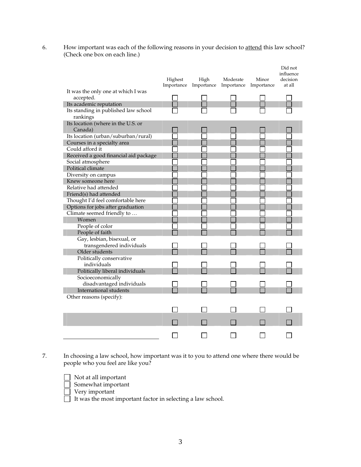6. How important was each of the following reasons in your decision to attend this law school? (Check one box on each line.)

|                                                 | Highest | High<br>Importance Importance | Moderate<br>Importance | Minor<br>Importance | Did not<br>influence<br>decision<br>at all |
|-------------------------------------------------|---------|-------------------------------|------------------------|---------------------|--------------------------------------------|
| It was the only one at which I was<br>accepted. |         |                               |                        |                     |                                            |
| Its academic reputation                         |         |                               |                        |                     |                                            |
| Its standing in published law school            |         |                               |                        |                     |                                            |
| rankings                                        |         |                               |                        |                     |                                            |
| Its location (where in the U.S. or              |         |                               |                        |                     |                                            |
| Canada)                                         |         |                               |                        |                     |                                            |
| Its location (urban/suburban/rural)             |         |                               |                        |                     |                                            |
| Courses in a specialty area                     |         |                               |                        |                     |                                            |
| Could afford it                                 |         |                               |                        |                     |                                            |
| Received a good financial aid package           |         |                               |                        |                     |                                            |
| Social atmosphere                               |         |                               |                        |                     |                                            |
| Political climate                               |         |                               |                        |                     |                                            |
| Diversity on campus                             |         |                               |                        |                     |                                            |
| Knew someone here                               |         |                               |                        |                     |                                            |
| Relative had attended                           |         |                               |                        |                     |                                            |
| Friend(s) had attended                          |         |                               |                        |                     |                                            |
| Thought I'd feel comfortable here               |         |                               |                        |                     |                                            |
| Options for jobs after graduation               |         |                               |                        |                     |                                            |
| Climate seemed friendly to                      |         |                               |                        |                     |                                            |
| Women                                           |         |                               |                        |                     |                                            |
| People of color                                 |         |                               |                        |                     |                                            |
| People of faith                                 |         |                               |                        |                     |                                            |
| Gay, lesbian, bisexual, or                      |         |                               |                        |                     |                                            |
| transgendered individuals                       |         |                               |                        |                     |                                            |
| Older students                                  |         |                               |                        |                     |                                            |
| Politically conservative                        |         |                               |                        |                     |                                            |
| individuals                                     |         |                               |                        |                     |                                            |
| Politically liberal individuals                 |         |                               |                        |                     |                                            |
| Socioeconomically                               |         |                               |                        |                     |                                            |
| disadvantaged individuals                       |         |                               |                        |                     |                                            |
| International students                          |         |                               |                        |                     |                                            |
| Other reasons (specify):                        |         |                               |                        |                     |                                            |
|                                                 |         |                               |                        |                     |                                            |
|                                                 |         |                               |                        |                     |                                            |
|                                                 |         |                               |                        |                     |                                            |
|                                                 |         |                               |                        |                     |                                            |
|                                                 |         |                               |                        |                     |                                            |

7. In choosing a law school, how important was it to you to attend one where there would be people who you feel are like you?

Not at all important

- Somewhat important
- Very important

It was the most important factor in selecting a law school.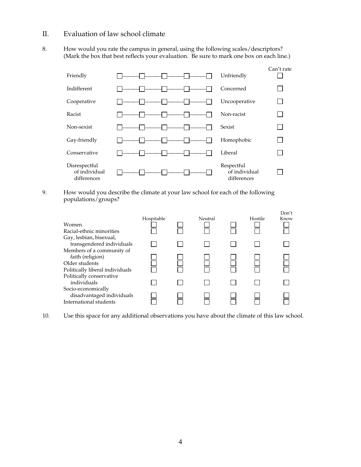## II. Evaluation of law school climate

8. How would you rate the campus in general, using the following scales/descriptors? (Mark the box that best reflects your evaluation. Be sure to mark one box on each line.)



9. How would you describe the climate at your law school for each of the following populations/groups?

| Women<br>Racial-ethnic minorities<br>Gay, lesbian, bisexual,              | Hospitable | Neutral | Hostile | Don't<br>Know |
|---------------------------------------------------------------------------|------------|---------|---------|---------------|
| transgendered individuals<br>Members of a community of                    |            |         |         |               |
| faith (religion)<br>Older students<br>Politically liberal individuals     |            |         |         |               |
| Politically conservative<br>individuals                                   |            |         |         |               |
| Socio-economically<br>disadvantaged individuals<br>International students |            |         |         |               |

10. Use this space for any additional observations you have about the climate of this law school.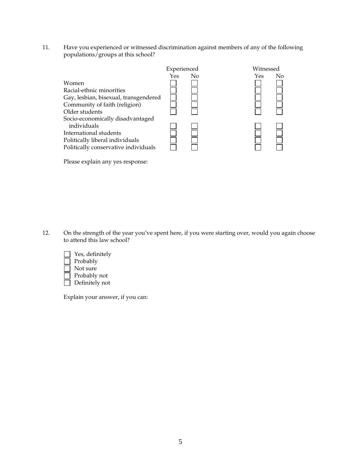11. Have you experienced or witnessed discrimination against members of any of the following populations/groups at this school?



Please explain any yes response:

12. On the strength of the year you've spent here, if you were starting over, would you again choose to attend this law school?



Explain your answer, if you can: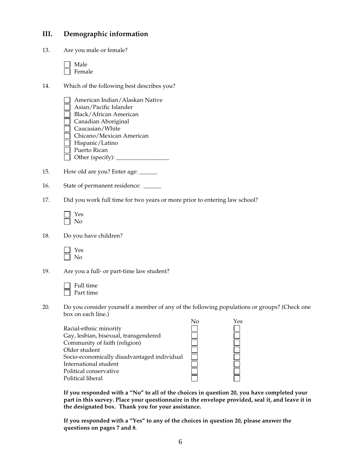## **III. Demographic information**

| 13. | Are you male or female?                                                                                                                                                                                                                               |
|-----|-------------------------------------------------------------------------------------------------------------------------------------------------------------------------------------------------------------------------------------------------------|
|     | Male<br>Female                                                                                                                                                                                                                                        |
| 14. | Which of the following best describes you?                                                                                                                                                                                                            |
|     | American Indian/Alaskan Native<br>Asian/Pacific Islander<br><b>Black/African American</b><br>Canadian Aboriginal<br>Caucasian/White<br>Chicano/Mexican American<br>Hispanic/Latino<br>Puerto Rican                                                    |
| 15. | How old are you? Enter age: _____                                                                                                                                                                                                                     |
| 16. | State of permanent residence: _____                                                                                                                                                                                                                   |
| 17. | Did you work full time for two years or more prior to entering law school?                                                                                                                                                                            |
|     | Yes<br>No                                                                                                                                                                                                                                             |
| 18. | Do you have children?                                                                                                                                                                                                                                 |
|     | Yes<br>No                                                                                                                                                                                                                                             |
| 19. | Are you a full- or part-time law student?                                                                                                                                                                                                             |
|     | Full time<br>Part time                                                                                                                                                                                                                                |
| 20. | Do you consider yourself a member of any of the following populations or groups? (Check one<br>box on each line.)                                                                                                                                     |
|     | No<br>Yes<br>Racial-ethnic minority<br>Gay, lesbian, bisexual, transgendered<br>Community of faith (religion)<br>Older student<br>Socio-economically disadvantaged individual<br>International student<br>Political conservative<br>Political liberal |
|     | If you responded with a "No" to all of the choices in question 20, you have completed your                                                                                                                                                            |

**If you responded with a "No" to all of the choices in question 20, you have completed your part in this survey. Place your questionnaire in the envelope provided, seal it, and leave it in the designated box. Thank you for your assistance.** 

**If you responded with a "Yes" to any of the choices in question 20, please answer the questions on pages 7 and 8**.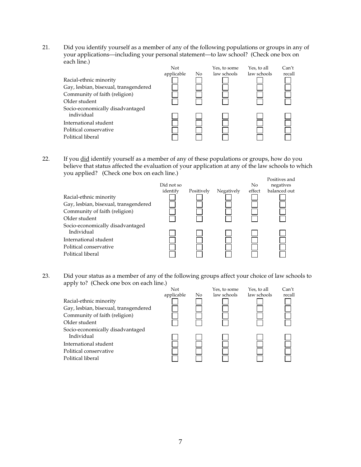21. Did you identify yourself as a member of any of the following populations or groups in any of your applications—including your personal statement—to law school? (Check one box on each line.)

| Racial-ethnic minority<br>Gay, lesbian, bisexual, transgendered<br>Community of faith (religion)<br>Older student | Not<br>applicable | No | Yes, to some<br>law schools | Yes, to all<br>law schools | Can't<br>recall |
|-------------------------------------------------------------------------------------------------------------------|-------------------|----|-----------------------------|----------------------------|-----------------|
| Socio-economically disadvantaged<br>individual<br>International student                                           |                   |    |                             |                            |                 |
| Political conservative<br>Political liberal                                                                       |                   |    |                             |                            |                 |

22. If you **did** identify yourself as a member of any of these populations or groups, how do you believe that status affected the evaluation of your application at any of the law schools to which you applied? (Check one box on each line.)



23. Did your status as a member of any of the following groups affect your choice of law schools to apply to? (Check one box on each line.)